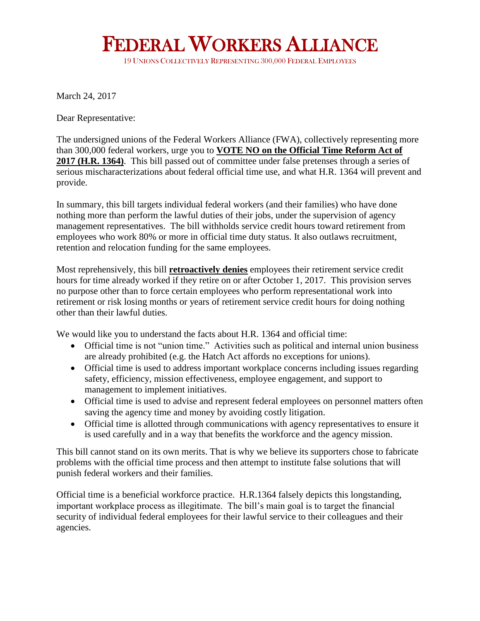## FEDERAL WORKERS ALLIANCE IDERAL WORKERS ALLIANC<br>19 UNIONS COLLECTIVELY REPRESENTING 300,000 FEDERAL EMPLOYEES

March 24, 2017

Dear Representative:

The undersigned unions of the Federal Workers Alliance (FWA), collectively representing more than 300,000 federal workers, urge you to **VOTE NO on the Official Time Reform Act of 2017 (H.R. 1364)**. This bill passed out of committee under false pretenses through a series of serious mischaracterizations about federal official time use, and what H.R. 1364 will prevent and provide.

In summary, this bill targets individual federal workers (and their families) who have done nothing more than perform the lawful duties of their jobs, under the supervision of agency management representatives. The bill withholds service credit hours toward retirement from employees who work 80% or more in official time duty status. It also outlaws recruitment, retention and relocation funding for the same employees.

Most reprehensively, this bill **retroactively denies** employees their retirement service credit hours for time already worked if they retire on or after October 1, 2017. This provision serves no purpose other than to force certain employees who perform representational work into retirement or risk losing months or years of retirement service credit hours for doing nothing other than their lawful duties.

We would like you to understand the facts about H.R. 1364 and official time:

- Official time is not "union time." Activities such as political and internal union business are already prohibited (e.g. the Hatch Act affords no exceptions for unions).
- Official time is used to address important workplace concerns including issues regarding safety, efficiency, mission effectiveness, employee engagement, and support to management to implement initiatives.
- Official time is used to advise and represent federal employees on personnel matters often saving the agency time and money by avoiding costly litigation.
- Official time is allotted through communications with agency representatives to ensure it is used carefully and in a way that benefits the workforce and the agency mission.

This bill cannot stand on its own merits. That is why we believe its supporters chose to fabricate problems with the official time process and then attempt to institute false solutions that will punish federal workers and their families.

Official time is a beneficial workforce practice. H.R.1364 falsely depicts this longstanding, important workplace process as illegitimate. The bill's main goal is to target the financial security of individual federal employees for their lawful service to their colleagues and their agencies.